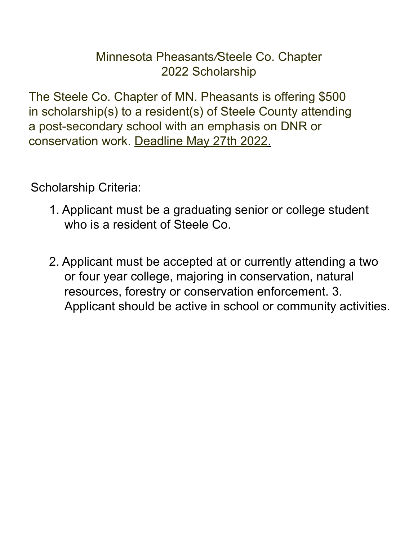## Minnesota Pheasants*/*Steele Co. Chapter 2022 Scholarship

The Steele Co. Chapter of MN. Pheasants is offering \$500 in scholarship(s) to a resident(s) of Steele County attending a post-secondary school with an emphasis on DNR or conservation work. Deadline May 27th 2022.

Scholarship Criteria:

- 1. Applicant must be a graduating senior or college student who is a resident of Steele Co.
- 2. Applicant must be accepted at or currently attending a two or four year college, majoring in conservation, natural resources, forestry or conservation enforcement. 3. Applicant should be active in school or community activities.